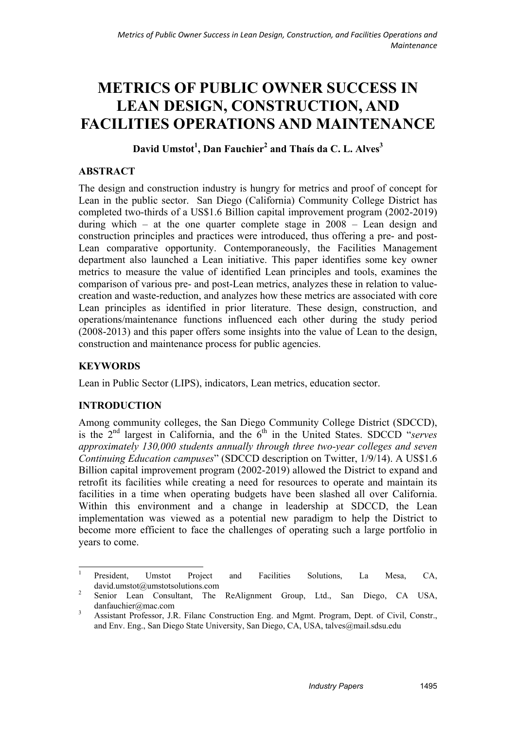# **METRICS OF PUBLIC OWNER SUCCESS IN LEAN DESIGN, CONSTRUCTION, AND FACILITIES OPERATIONS AND MAINTENANCE**

## **David Umstot<sup>1</sup> , Dan Fauchier2 and Thaís da C. L. Alves3**

## **ABSTRACT**

The design and construction industry is hungry for metrics and proof of concept for Lean in the public sector. San Diego (California) Community College District has completed two-thirds of a US\$1.6 Billion capital improvement program (2002-2019) during which – at the one quarter complete stage in 2008 – Lean design and construction principles and practices were introduced, thus offering a pre- and post-Lean comparative opportunity. Contemporaneously, the Facilities Management department also launched a Lean initiative. This paper identifies some key owner metrics to measure the value of identified Lean principles and tools, examines the comparison of various pre- and post-Lean metrics, analyzes these in relation to valuecreation and waste-reduction, and analyzes how these metrics are associated with core Lean principles as identified in prior literature. These design, construction, and operations/maintenance functions influenced each other during the study period (2008-2013) and this paper offers some insights into the value of Lean to the design, construction and maintenance process for public agencies.

## **KEYWORDS**

Lean in Public Sector (LIPS), indicators, Lean metrics, education sector.

## **INTRODUCTION**

Among community colleges, the San Diego Community College District (SDCCD), is the 2nd largest in California, and the 6th in the United States. SDCCD "*serves approximately 130,000 students annually through three two-year colleges and seven Continuing Education campuses*" (SDCCD description on Twitter, 1/9/14). A US\$1.6 Billion capital improvement program (2002-2019) allowed the District to expand and retrofit its facilities while creating a need for resources to operate and maintain its facilities in a time when operating budgets have been slashed all over California. Within this environment and a change in leadership at SDCCD, the Lean implementation was viewed as a potential new paradigm to help the District to become more efficient to face the challenges of operating such a large portfolio in years to come.

 $\frac{1}{1}$  President, Umstot Project and Facilities Solutions, La Mesa, CA, david.umstot@umstotsolutions.com 2

Senior Lean Consultant, The ReAlignment Group, Ltd., San Diego, CA USA, danfauchier@mac.com

<sup>3</sup> Assistant Professor, J.R. Filanc Construction Eng. and Mgmt. Program, Dept. of Civil, Constr., and Env. Eng., San Diego State University, San Diego, CA, USA, talves@mail.sdsu.edu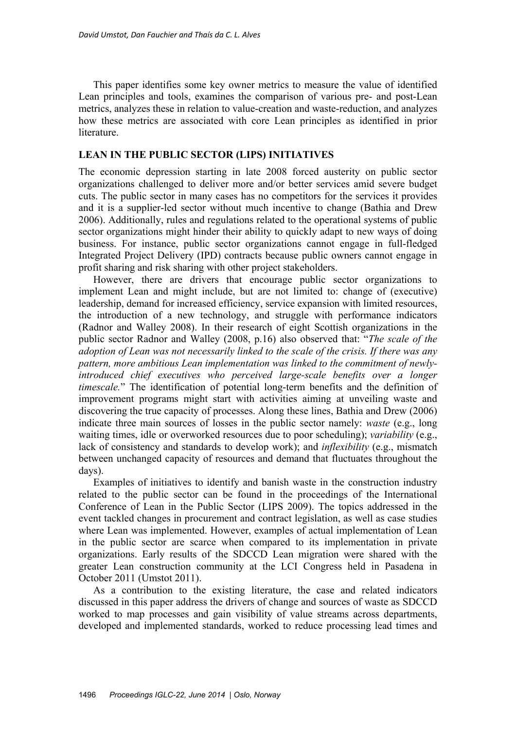This paper identifies some key owner metrics to measure the value of identified Lean principles and tools, examines the comparison of various pre- and post-Lean metrics, analyzes these in relation to value-creation and waste-reduction, and analyzes how these metrics are associated with core Lean principles as identified in prior literature.

#### **LEAN IN THE PUBLIC SECTOR (LIPS) INITIATIVES**

The economic depression starting in late 2008 forced austerity on public sector organizations challenged to deliver more and/or better services amid severe budget cuts. The public sector in many cases has no competitors for the services it provides and it is a supplier-led sector without much incentive to change (Bathia and Drew 2006). Additionally, rules and regulations related to the operational systems of public sector organizations might hinder their ability to quickly adapt to new ways of doing business. For instance, public sector organizations cannot engage in full-fledged Integrated Project Delivery (IPD) contracts because public owners cannot engage in profit sharing and risk sharing with other project stakeholders.

However, there are drivers that encourage public sector organizations to implement Lean and might include, but are not limited to: change of (executive) leadership, demand for increased efficiency, service expansion with limited resources, the introduction of a new technology, and struggle with performance indicators (Radnor and Walley 2008). In their research of eight Scottish organizations in the public sector Radnor and Walley (2008, p.16) also observed that: "*The scale of the adoption of Lean was not necessarily linked to the scale of the crisis. If there was any pattern, more ambitious Lean implementation was linked to the commitment of newlyintroduced chief executives who perceived large-scale benefits over a longer timescale.*" The identification of potential long-term benefits and the definition of improvement programs might start with activities aiming at unveiling waste and discovering the true capacity of processes. Along these lines, Bathia and Drew (2006) indicate three main sources of losses in the public sector namely: *waste* (e.g., long waiting times, idle or overworked resources due to poor scheduling); *variability* (e.g., lack of consistency and standards to develop work); and *inflexibility* (e.g., mismatch between unchanged capacity of resources and demand that fluctuates throughout the days).

Examples of initiatives to identify and banish waste in the construction industry related to the public sector can be found in the proceedings of the International Conference of Lean in the Public Sector (LIPS 2009). The topics addressed in the event tackled changes in procurement and contract legislation, as well as case studies where Lean was implemented. However, examples of actual implementation of Lean in the public sector are scarce when compared to its implementation in private organizations. Early results of the SDCCD Lean migration were shared with the greater Lean construction community at the LCI Congress held in Pasadena in October 2011 (Umstot 2011).

As a contribution to the existing literature, the case and related indicators discussed in this paper address the drivers of change and sources of waste as SDCCD worked to map processes and gain visibility of value streams across departments, developed and implemented standards, worked to reduce processing lead times and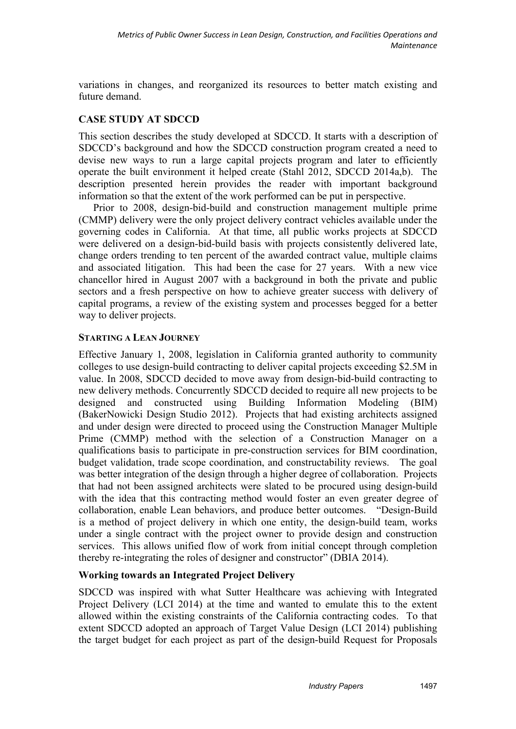variations in changes, and reorganized its resources to better match existing and future demand.

## **CASE STUDY AT SDCCD**

This section describes the study developed at SDCCD. It starts with a description of SDCCD's background and how the SDCCD construction program created a need to devise new ways to run a large capital projects program and later to efficiently operate the built environment it helped create (Stahl 2012, SDCCD 2014a,b). The description presented herein provides the reader with important background information so that the extent of the work performed can be put in perspective.

Prior to 2008, design-bid-build and construction management multiple prime (CMMP) delivery were the only project delivery contract vehicles available under the governing codes in California. At that time, all public works projects at SDCCD were delivered on a design-bid-build basis with projects consistently delivered late, change orders trending to ten percent of the awarded contract value, multiple claims and associated litigation. This had been the case for 27 years. With a new vice chancellor hired in August 2007 with a background in both the private and public sectors and a fresh perspective on how to achieve greater success with delivery of capital programs, a review of the existing system and processes begged for a better way to deliver projects.

#### **STARTING A LEAN JOURNEY**

Effective January 1, 2008, legislation in California granted authority to community colleges to use design-build contracting to deliver capital projects exceeding \$2.5M in value. In 2008, SDCCD decided to move away from design-bid-build contracting to new delivery methods. Concurrently SDCCD decided to require all new projects to be designed and constructed using Building Information Modeling (BIM) (BakerNowicki Design Studio 2012). Projects that had existing architects assigned and under design were directed to proceed using the Construction Manager Multiple Prime (CMMP) method with the selection of a Construction Manager on a qualifications basis to participate in pre-construction services for BIM coordination, budget validation, trade scope coordination, and constructability reviews. The goal was better integration of the design through a higher degree of collaboration. Projects that had not been assigned architects were slated to be procured using design-build with the idea that this contracting method would foster an even greater degree of collaboration, enable Lean behaviors, and produce better outcomes. "Design-Build is a method of project delivery in which one entity, the design-build team, works under a single contract with the project owner to provide design and construction services. This allows unified flow of work from initial concept through completion thereby re-integrating the roles of designer and constructor" (DBIA 2014).

## **Working towards an Integrated Project Delivery**

SDCCD was inspired with what Sutter Healthcare was achieving with Integrated Project Delivery (LCI 2014) at the time and wanted to emulate this to the extent allowed within the existing constraints of the California contracting codes. To that extent SDCCD adopted an approach of Target Value Design (LCI 2014) publishing the target budget for each project as part of the design-build Request for Proposals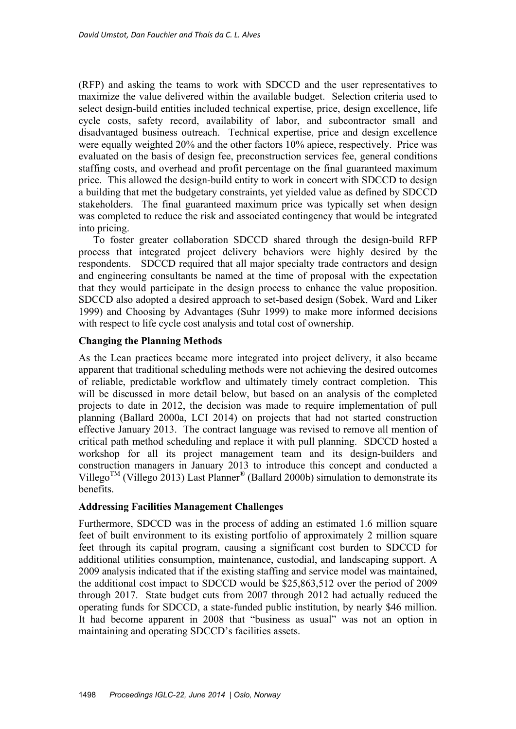(RFP) and asking the teams to work with SDCCD and the user representatives to maximize the value delivered within the available budget. Selection criteria used to select design-build entities included technical expertise, price, design excellence, life cycle costs, safety record, availability of labor, and subcontractor small and disadvantaged business outreach. Technical expertise, price and design excellence were equally weighted 20% and the other factors 10% apiece, respectively. Price was evaluated on the basis of design fee, preconstruction services fee, general conditions staffing costs, and overhead and profit percentage on the final guaranteed maximum price. This allowed the design-build entity to work in concert with SDCCD to design a building that met the budgetary constraints, yet yielded value as defined by SDCCD stakeholders. The final guaranteed maximum price was typically set when design was completed to reduce the risk and associated contingency that would be integrated into pricing.

To foster greater collaboration SDCCD shared through the design-build RFP process that integrated project delivery behaviors were highly desired by the respondents. SDCCD required that all major specialty trade contractors and design and engineering consultants be named at the time of proposal with the expectation that they would participate in the design process to enhance the value proposition. SDCCD also adopted a desired approach to set-based design (Sobek, Ward and Liker 1999) and Choosing by Advantages (Suhr 1999) to make more informed decisions with respect to life cycle cost analysis and total cost of ownership.

#### **Changing the Planning Methods**

As the Lean practices became more integrated into project delivery, it also became apparent that traditional scheduling methods were not achieving the desired outcomes of reliable, predictable workflow and ultimately timely contract completion. This will be discussed in more detail below, but based on an analysis of the completed projects to date in 2012, the decision was made to require implementation of pull planning (Ballard 2000a, LCI 2014) on projects that had not started construction effective January 2013. The contract language was revised to remove all mention of critical path method scheduling and replace it with pull planning. SDCCD hosted a workshop for all its project management team and its design-builders and construction managers in January 2013 to introduce this concept and conducted a Villego<sup>TM</sup> (Villego 2013) Last Planner<sup>®</sup> (Ballard 2000b) simulation to demonstrate its benefits.

#### **Addressing Facilities Management Challenges**

Furthermore, SDCCD was in the process of adding an estimated 1.6 million square feet of built environment to its existing portfolio of approximately 2 million square feet through its capital program, causing a significant cost burden to SDCCD for additional utilities consumption, maintenance, custodial, and landscaping support. A 2009 analysis indicated that if the existing staffing and service model was maintained, the additional cost impact to SDCCD would be \$25,863,512 over the period of 2009 through 2017. State budget cuts from 2007 through 2012 had actually reduced the operating funds for SDCCD, a state-funded public institution, by nearly \$46 million. It had become apparent in 2008 that "business as usual" was not an option in maintaining and operating SDCCD's facilities assets.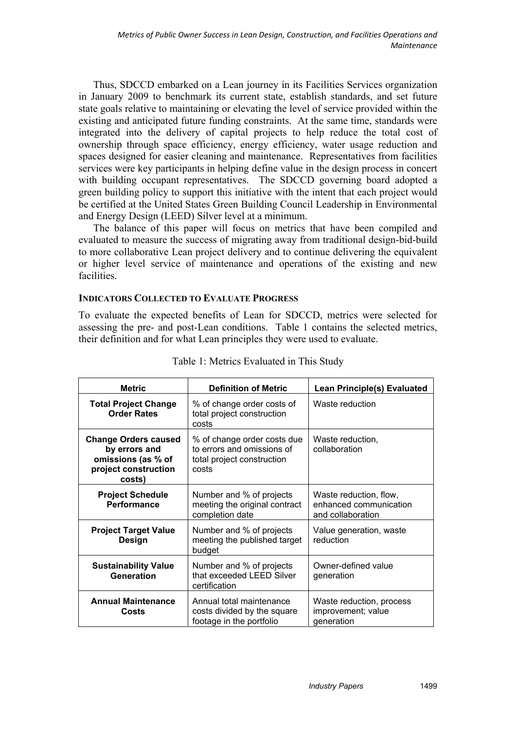Thus, SDCCD embarked on a Lean journey in its Facilities Services organization in January 2009 to benchmark its current state, establish standards, and set future state goals relative to maintaining or elevating the level of service provided within the existing and anticipated future funding constraints. At the same time, standards were integrated into the delivery of capital projects to help reduce the total cost of ownership through space efficiency, energy efficiency, water usage reduction and spaces designed for easier cleaning and maintenance. Representatives from facilities services were key participants in helping define value in the design process in concert with building occupant representatives. The SDCCD governing board adopted a green building policy to support this initiative with the intent that each project would be certified at the United States Green Building Council Leadership in Environmental and Energy Design (LEED) Silver level at a minimum.

The balance of this paper will focus on metrics that have been compiled and evaluated to measure the success of migrating away from traditional design-bid-build to more collaborative Lean project delivery and to continue delivering the equivalent or higher level service of maintenance and operations of the existing and new facilities.

#### **INDICATORS COLLECTED TO EVALUATE PROGRESS**

To evaluate the expected benefits of Lean for SDCCD, metrics were selected for assessing the pre- and post-Lean conditions. Table 1 contains the selected metrics, their definition and for what Lean principles they were used to evaluate.

| <b>Metric</b>                                                                                        | <b>Definition of Metric</b>                                                                      | <b>Lean Principle(s) Evaluated</b>                                    |
|------------------------------------------------------------------------------------------------------|--------------------------------------------------------------------------------------------------|-----------------------------------------------------------------------|
| <b>Total Project Change</b><br><b>Order Rates</b>                                                    | % of change order costs of<br>total project construction<br>costs                                | Waste reduction                                                       |
| <b>Change Orders caused</b><br>by errors and<br>omissions (as % of<br>project construction<br>costs) | % of change order costs due<br>to errors and omissions of<br>total project construction<br>costs | Waste reduction,<br>collaboration                                     |
| <b>Project Schedule</b><br>Performance                                                               | Number and % of projects<br>meeting the original contract<br>completion date                     | Waste reduction, flow,<br>enhanced communication<br>and collaboration |
| <b>Project Target Value</b><br>Design                                                                | Number and % of projects<br>meeting the published target<br>budget                               | Value generation, waste<br>reduction                                  |
| <b>Sustainability Value</b><br>Generation                                                            | Number and % of projects<br>that exceeded LEED Silver<br>certification                           | Owner-defined value<br>generation                                     |
| <b>Annual Maintenance</b><br>Costs                                                                   | Annual total maintenance<br>costs divided by the square<br>footage in the portfolio              | Waste reduction, process<br>improvement; value<br>generation          |

#### Table 1: Metrics Evaluated in This Study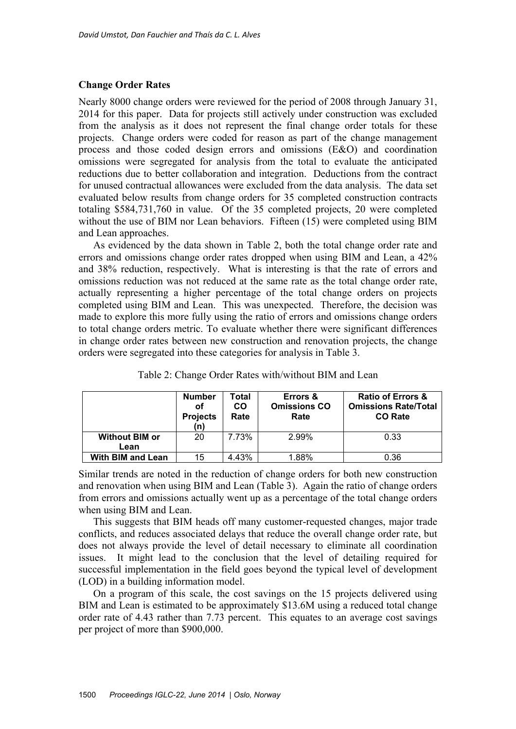#### **Change Order Rates**

Nearly 8000 change orders were reviewed for the period of 2008 through January 31, 2014 for this paper. Data for projects still actively under construction was excluded from the analysis as it does not represent the final change order totals for these projects. Change orders were coded for reason as part of the change management process and those coded design errors and omissions (E&O) and coordination omissions were segregated for analysis from the total to evaluate the anticipated reductions due to better collaboration and integration. Deductions from the contract for unused contractual allowances were excluded from the data analysis. The data set evaluated below results from change orders for 35 completed construction contracts totaling \$584,731,760 in value. Of the 35 completed projects, 20 were completed without the use of BIM nor Lean behaviors. Fifteen (15) were completed using BIM and Lean approaches.

As evidenced by the data shown in Table 2, both the total change order rate and errors and omissions change order rates dropped when using BIM and Lean, a 42% and 38% reduction, respectively. What is interesting is that the rate of errors and omissions reduction was not reduced at the same rate as the total change order rate, actually representing a higher percentage of the total change orders on projects completed using BIM and Lean. This was unexpected. Therefore, the decision was made to explore this more fully using the ratio of errors and omissions change orders to total change orders metric. To evaluate whether there were significant differences in change order rates between new construction and renovation projects, the change orders were segregated into these categories for analysis in Table 3.

|                               | <b>Number</b><br>οf<br><b>Projects</b><br>(n) | Total<br><b>CO</b><br>Rate | Errors &<br><b>Omissions CO</b><br>Rate | <b>Ratio of Errors &amp;</b><br><b>Omissions Rate/Total</b><br><b>CO Rate</b> |
|-------------------------------|-----------------------------------------------|----------------------------|-----------------------------------------|-------------------------------------------------------------------------------|
| <b>Without BIM or</b><br>Lean | 20                                            | 7.73%                      | 2.99%                                   | 0.33                                                                          |
| <b>With BIM and Lean</b>      | 15                                            | 4.43%                      | 1.88%                                   | 0.36                                                                          |

Table 2: Change Order Rates with/without BIM and Lean

Similar trends are noted in the reduction of change orders for both new construction and renovation when using BIM and Lean (Table 3). Again the ratio of change orders from errors and omissions actually went up as a percentage of the total change orders when using BIM and Lean.

This suggests that BIM heads off many customer-requested changes, major trade conflicts, and reduces associated delays that reduce the overall change order rate, but does not always provide the level of detail necessary to eliminate all coordination issues. It might lead to the conclusion that the level of detailing required for successful implementation in the field goes beyond the typical level of development (LOD) in a building information model.

On a program of this scale, the cost savings on the 15 projects delivered using BIM and Lean is estimated to be approximately \$13.6M using a reduced total change order rate of 4.43 rather than 7.73 percent. This equates to an average cost savings per project of more than \$900,000.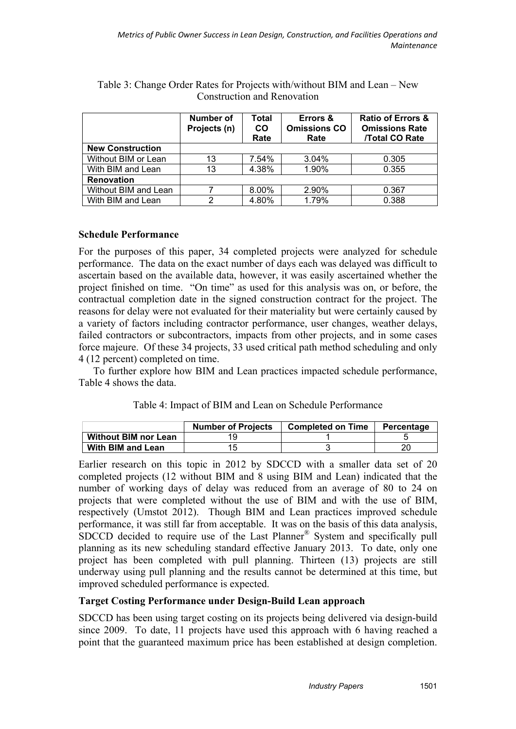|                         | <b>Number of</b><br>Projects (n) | Total<br><b>CO</b><br>Rate | Errors &<br><b>Omissions CO</b><br>Rate | <b>Ratio of Errors &amp;</b><br><b>Omissions Rate</b><br><b>/Total CO Rate</b> |
|-------------------------|----------------------------------|----------------------------|-----------------------------------------|--------------------------------------------------------------------------------|
| <b>New Construction</b> |                                  |                            |                                         |                                                                                |
| Without BIM or Lean     | 13                               | 7.54%                      | 3.04%                                   | 0.305                                                                          |
| With BIM and Lean       | 13                               | 4.38%                      | 1.90%                                   | 0.355                                                                          |
| <b>Renovation</b>       |                                  |                            |                                         |                                                                                |
| Without BIM and Lean    |                                  | 8.00%                      | 2.90%                                   | 0.367                                                                          |
| With BIM and Lean       | っ                                | 4.80%                      | 1.79%                                   | 0.388                                                                          |

Table 3: Change Order Rates for Projects with/without BIM and Lean – New Construction and Renovation

#### **Schedule Performance**

For the purposes of this paper, 34 completed projects were analyzed for schedule performance. The data on the exact number of days each was delayed was difficult to ascertain based on the available data, however, it was easily ascertained whether the project finished on time. "On time" as used for this analysis was on, or before, the contractual completion date in the signed construction contract for the project. The reasons for delay were not evaluated for their materiality but were certainly caused by a variety of factors including contractor performance, user changes, weather delays, failed contractors or subcontractors, impacts from other projects, and in some cases force majeure. Of these 34 projects, 33 used critical path method scheduling and only 4 (12 percent) completed on time.

To further explore how BIM and Lean practices impacted schedule performance, Table 4 shows the data.

| Table 4: Impact of BIM and Lean on Schedule Performance |  |
|---------------------------------------------------------|--|
|---------------------------------------------------------|--|

|                             | <b>Number of Projects</b> | <b>Completed on Time</b> | Percentage |
|-----------------------------|---------------------------|--------------------------|------------|
| <b>Without BIM nor Lean</b> |                           |                          |            |
| With BIM and Lean           |                           |                          |            |

Earlier research on this topic in 2012 by SDCCD with a smaller data set of 20 completed projects (12 without BIM and 8 using BIM and Lean) indicated that the number of working days of delay was reduced from an average of 80 to 24 on projects that were completed without the use of BIM and with the use of BIM, respectively (Umstot 2012). Though BIM and Lean practices improved schedule performance, it was still far from acceptable. It was on the basis of this data analysis, SDCCD decided to require use of the Last Planner® System and specifically pull planning as its new scheduling standard effective January 2013. To date, only one project has been completed with pull planning. Thirteen (13) projects are still underway using pull planning and the results cannot be determined at this time, but improved scheduled performance is expected.

#### **Target Costing Performance under Design-Build Lean approach**

SDCCD has been using target costing on its projects being delivered via design-build since 2009. To date, 11 projects have used this approach with 6 having reached a point that the guaranteed maximum price has been established at design completion.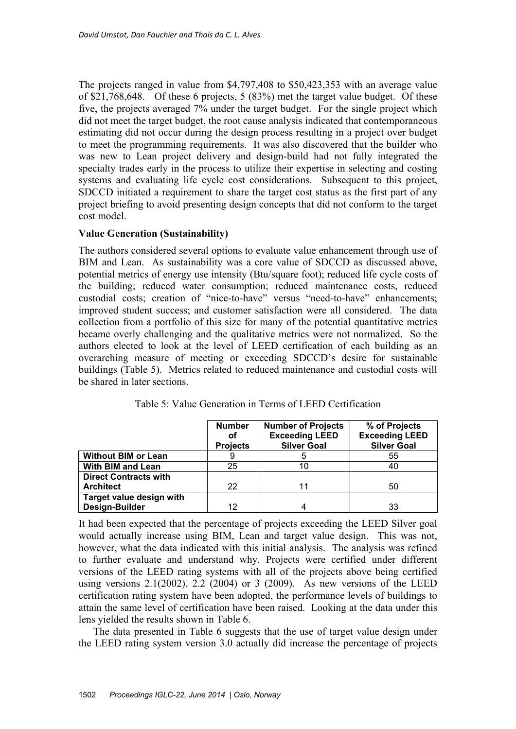The projects ranged in value from \$4,797,408 to \$50,423,353 with an average value of \$21,768,648. Of these 6 projects, 5 (83%) met the target value budget. Of these five, the projects averaged 7% under the target budget. For the single project which did not meet the target budget, the root cause analysis indicated that contemporaneous estimating did not occur during the design process resulting in a project over budget to meet the programming requirements. It was also discovered that the builder who was new to Lean project delivery and design-build had not fully integrated the specialty trades early in the process to utilize their expertise in selecting and costing systems and evaluating life cycle cost considerations. Subsequent to this project, SDCCD initiated a requirement to share the target cost status as the first part of any project briefing to avoid presenting design concepts that did not conform to the target cost model.

#### **Value Generation (Sustainability)**

The authors considered several options to evaluate value enhancement through use of BIM and Lean. As sustainability was a core value of SDCCD as discussed above, potential metrics of energy use intensity (Btu/square foot); reduced life cycle costs of the building; reduced water consumption; reduced maintenance costs, reduced custodial costs; creation of "nice-to-have" versus "need-to-have" enhancements; improved student success; and customer satisfaction were all considered. The data collection from a portfolio of this size for many of the potential quantitative metrics became overly challenging and the qualitative metrics were not normalized. So the authors elected to look at the level of LEED certification of each building as an overarching measure of meeting or exceeding SDCCD's desire for sustainable buildings (Table 5). Metrics related to reduced maintenance and custodial costs will be shared in later sections.

|                              | <b>Number</b><br>οf<br><b>Projects</b> | <b>Number of Projects</b><br><b>Exceeding LEED</b><br><b>Silver Goal</b> | % of Projects<br><b>Exceeding LEED</b><br><b>Silver Goal</b> |
|------------------------------|----------------------------------------|--------------------------------------------------------------------------|--------------------------------------------------------------|
| <b>Without BIM or Lean</b>   |                                        |                                                                          | 55                                                           |
| With BIM and Lean            | 25                                     | 10                                                                       | 40                                                           |
| <b>Direct Contracts with</b> |                                        |                                                                          |                                                              |
| <b>Architect</b>             | 22                                     | 11                                                                       | 50                                                           |
| Target value design with     |                                        |                                                                          |                                                              |
| Design-Builder               | 12                                     |                                                                          | 33                                                           |

Table 5: Value Generation in Terms of LEED Certification

It had been expected that the percentage of projects exceeding the LEED Silver goal would actually increase using BIM, Lean and target value design. This was not, however, what the data indicated with this initial analysis. The analysis was refined to further evaluate and understand why. Projects were certified under different versions of the LEED rating systems with all of the projects above being certified using versions 2.1(2002), 2.2 (2004) or 3 (2009). As new versions of the LEED certification rating system have been adopted, the performance levels of buildings to attain the same level of certification have been raised. Looking at the data under this lens yielded the results shown in Table 6.

The data presented in Table 6 suggests that the use of target value design under the LEED rating system version 3.0 actually did increase the percentage of projects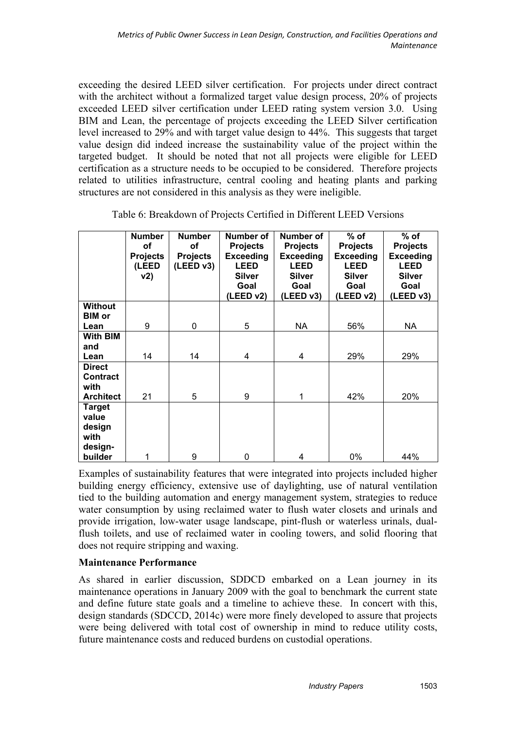exceeding the desired LEED silver certification. For projects under direct contract with the architect without a formalized target value design process, 20% of projects exceeded LEED silver certification under LEED rating system version 3.0. Using BIM and Lean, the percentage of projects exceeding the LEED Silver certification level increased to 29% and with target value design to 44%. This suggests that target value design did indeed increase the sustainability value of the project within the targeted budget. It should be noted that not all projects were eligible for LEED certification as a structure needs to be occupied to be considered. Therefore projects related to utilities infrastructure, central cooling and heating plants and parking structures are not considered in this analysis as they were ineligible.

|                                                                | <b>Number</b><br>οf<br><b>Projects</b><br>(LEED<br>v2) | <b>Number</b><br>οf<br><b>Projects</b><br>(LEED v3) | Number of<br><b>Projects</b><br><b>Exceeding</b><br><b>LEED</b><br><b>Silver</b><br>Goal<br>(LEED v2) | Number of<br><b>Projects</b><br><b>Exceeding</b><br><b>LEED</b><br><b>Silver</b><br>Goal<br>(LEED v3) | $%$ of<br><b>Projects</b><br><b>Exceeding</b><br><b>LEED</b><br><b>Silver</b><br>Goal<br>(LEED v2) | $%$ of<br><b>Projects</b><br><b>Exceeding</b><br><b>LEED</b><br><b>Silver</b><br>Goal<br>(LEED v3) |
|----------------------------------------------------------------|--------------------------------------------------------|-----------------------------------------------------|-------------------------------------------------------------------------------------------------------|-------------------------------------------------------------------------------------------------------|----------------------------------------------------------------------------------------------------|----------------------------------------------------------------------------------------------------|
| <b>Without</b><br><b>BIM</b> or                                |                                                        |                                                     |                                                                                                       |                                                                                                       |                                                                                                    |                                                                                                    |
| Lean                                                           | 9                                                      | 0                                                   | 5                                                                                                     | NA.                                                                                                   | 56%                                                                                                | NA                                                                                                 |
| <b>With BIM</b><br>and<br>Lean                                 | 14                                                     | 14                                                  | 4                                                                                                     | 4                                                                                                     | 29%                                                                                                | 29%                                                                                                |
| <b>Direct</b><br><b>Contract</b><br>with<br><b>Architect</b>   | 21                                                     | 5                                                   | 9                                                                                                     | 1                                                                                                     | 42%                                                                                                | 20%                                                                                                |
| <b>Target</b><br>value<br>design<br>with<br>design-<br>builder | 1                                                      | 9                                                   | 0                                                                                                     | 4                                                                                                     | 0%                                                                                                 | 44%                                                                                                |

Table 6: Breakdown of Projects Certified in Different LEED Versions

Examples of sustainability features that were integrated into projects included higher building energy efficiency, extensive use of daylighting, use of natural ventilation tied to the building automation and energy management system, strategies to reduce water consumption by using reclaimed water to flush water closets and urinals and provide irrigation, low-water usage landscape, pint-flush or waterless urinals, dualflush toilets, and use of reclaimed water in cooling towers, and solid flooring that does not require stripping and waxing.

## **Maintenance Performance**

As shared in earlier discussion, SDDCD embarked on a Lean journey in its maintenance operations in January 2009 with the goal to benchmark the current state and define future state goals and a timeline to achieve these. In concert with this, design standards (SDCCD, 2014c) were more finely developed to assure that projects were being delivered with total cost of ownership in mind to reduce utility costs, future maintenance costs and reduced burdens on custodial operations.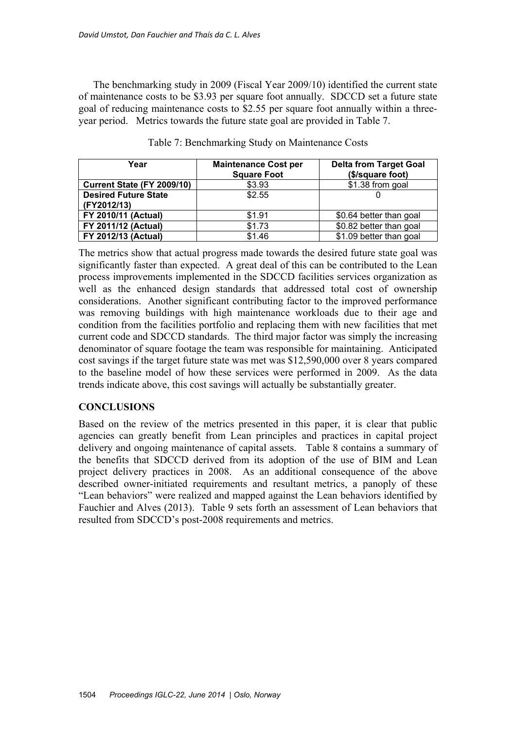The benchmarking study in 2009 (Fiscal Year 2009/10) identified the current state of maintenance costs to be \$3.93 per square foot annually. SDCCD set a future state goal of reducing maintenance costs to \$2.55 per square foot annually within a threeyear period. Metrics towards the future state goal are provided in Table 7.

| Year                                       | <b>Maintenance Cost per</b><br><b>Square Foot</b> | <b>Delta from Target Goal</b><br>(\$/square foot) |
|--------------------------------------------|---------------------------------------------------|---------------------------------------------------|
| Current State (FY 2009/10)                 | \$3.93                                            | \$1.38 from goal                                  |
| <b>Desired Future State</b><br>(FY2012/13) | \$2.55                                            |                                                   |
| FY 2010/11 (Actual)                        | \$1.91                                            | \$0.64 better than goal                           |
| FY 2011/12 (Actual)                        | \$1.73                                            | \$0.82 better than goal                           |
| <b>FY 2012/13 (Actual)</b>                 | \$1.46                                            | \$1.09 better than goal                           |

Table 7: Benchmarking Study on Maintenance Costs

The metrics show that actual progress made towards the desired future state goal was significantly faster than expected. A great deal of this can be contributed to the Lean process improvements implemented in the SDCCD facilities services organization as well as the enhanced design standards that addressed total cost of ownership considerations. Another significant contributing factor to the improved performance was removing buildings with high maintenance workloads due to their age and condition from the facilities portfolio and replacing them with new facilities that met current code and SDCCD standards. The third major factor was simply the increasing denominator of square footage the team was responsible for maintaining. Anticipated cost savings if the target future state was met was \$12,590,000 over 8 years compared to the baseline model of how these services were performed in 2009. As the data trends indicate above, this cost savings will actually be substantially greater.

#### **CONCLUSIONS**

Based on the review of the metrics presented in this paper, it is clear that public agencies can greatly benefit from Lean principles and practices in capital project delivery and ongoing maintenance of capital assets. Table 8 contains a summary of the benefits that SDCCD derived from its adoption of the use of BIM and Lean project delivery practices in 2008. As an additional consequence of the above described owner-initiated requirements and resultant metrics, a panoply of these "Lean behaviors" were realized and mapped against the Lean behaviors identified by Fauchier and Alves (2013). Table 9 sets forth an assessment of Lean behaviors that resulted from SDCCD's post-2008 requirements and metrics.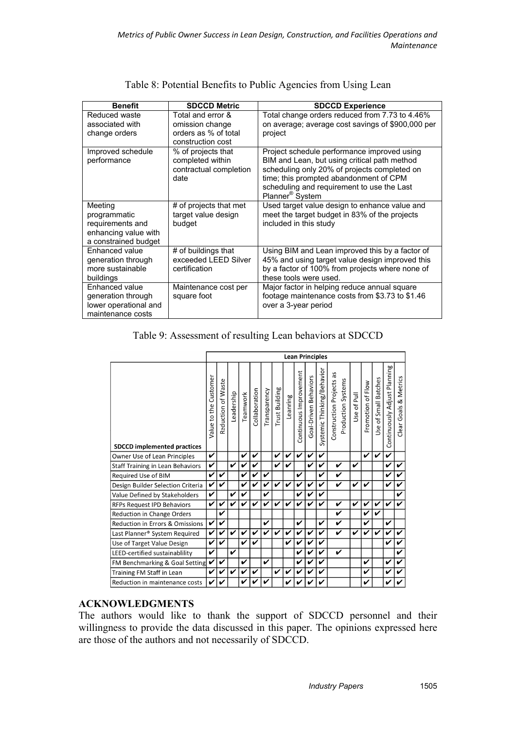| <b>Benefit</b>        | <b>SDCCD Metric</b>                       | <b>SDCCD Experience</b>                           |
|-----------------------|-------------------------------------------|---------------------------------------------------|
| Reduced waste         | Total and error &                         | Total change orders reduced from 7.73 to 4.46%    |
| associated with       | omission change                           | on average; average cost savings of \$900,000 per |
| change orders         | orders as % of total<br>construction cost | project                                           |
| Improved schedule     | % of projects that                        | Project schedule performance improved using       |
| performance           | completed within                          | BIM and Lean, but using critical path method      |
|                       | contractual completion                    | scheduling only 20% of projects completed on      |
|                       | date                                      | time; this prompted abandonment of CPM            |
|                       |                                           | scheduling and requirement to use the Last        |
|                       |                                           | Planner <sup>®</sup> System                       |
| Meeting               | # of projects that met                    | Used target value design to enhance value and     |
| programmatic          | target value design                       | meet the target budget in 83% of the projects     |
| requirements and      | budget                                    | included in this study                            |
| enhancing value with  |                                           |                                                   |
| a constrained budget  |                                           |                                                   |
| Enhanced value        | # of buildings that                       | Using BIM and Lean improved this by a factor of   |
| generation through    | exceeded LEED Silver                      | 45% and using target value design improved this   |
| more sustainable      | certification                             | by a factor of 100% from projects where none of   |
| buildings             |                                           | these tools were used.                            |
| Enhanced value        | Maintenance cost per                      | Major factor in helping reduce annual square      |
| generation through    | square foot                               | footage maintenance costs from \$3.73 to \$1.46   |
| lower operational and |                                           | over a 3-year period                              |
| maintenance costs     |                                           |                                                   |

### Table 8: Potential Benefits to Public Agencies from Using Lean

## Table 9: Assessment of resulting Lean behaviors at SDCCD

|                                         | <b>Lean Principles</b>   |                    |            |          |               |              |                       |          |                        |                       |                            |                                                |             |                   |                      |                              |                          |
|-----------------------------------------|--------------------------|--------------------|------------|----------|---------------|--------------|-----------------------|----------|------------------------|-----------------------|----------------------------|------------------------------------------------|-------------|-------------------|----------------------|------------------------------|--------------------------|
| <b>SDCCD implemented practices</b>      | Customer<br>Value to the | Reduction of Waste | Leadership | Teamwork | Collaboration | Transparency | <b>Trust Building</b> | Leanring | Continuous Improvement | Goal-Driven Behaviors | Systemic Thinking/Behavior | Construction Projects as<br>Production Systems | Use of Pull | Promotion of Flow | Use of Small Batches | Continuously Adjust Planning | & Metrics<br>Clear Goals |
| Owner Use of Lean Principles            | V                        |                    |            | ✓        | V             |              | V                     | ✔        | ✓                      | ✔                     | V                          |                                                |             | ✓                 | ✓                    | V                            |                          |
| <b>Staff Training in Lean Behaviors</b> | V                        |                    | ✓          | ✔        | V             |              | V                     | ✔        |                        | ✓                     | V                          | V                                              | V           |                   |                      | ✔                            | V                        |
| Required Use of BIM                     | ✓                        | V                  |            | ✔        | V             | ✔            |                       |          | ✓                      |                       | V                          | V                                              |             |                   |                      | ✔                            | V                        |
| Design Builder Selection Criteria       | V                        | V                  |            | ✔        | V             | v            | ✔                     | ✔        | V                      | V                     | ✔                          | V                                              | V           | ✔                 |                      | ✔                            | V                        |
| Value Defined by Stakeholders           | V                        |                    | V          | ✔        |               | ✔            |                       |          | V                      | ✔                     | ✓                          |                                                |             |                   |                      |                              | V                        |
| <b>RFPs Request IPD Behaviors</b>       | V                        | V                  | V          | ✔        | V             | ✓            | ✓                     | ✔        | ✔                      | ✔                     | ✓                          | V                                              | V           | V                 | ✓                    | ✔                            | ✓                        |
| Reduction in Change Orders              |                          | V                  |            |          |               |              |                       |          |                        |                       |                            | Ñ                                              |             | ✔                 | ✓                    |                              |                          |
| Reduction in Errors & Omissions         | V                        | V                  |            |          |               | ✔            |                       |          | V                      |                       | ✔                          | V                                              |             | ✔                 |                      | ✓                            |                          |
| Last Planner® System Required           | V                        | V                  | V          | Ñ        | V             | ✔            | ✓                     | ✔        | ✔                      | ✔                     | ✔                          | V                                              | V           | ✓                 | ✔                    | ✔                            | V                        |
| Use of Target Value Design              | V                        | ✓                  |            | ✔        | V             |              |                       | ✔        | v                      | ✔                     | ✔                          |                                                |             |                   |                      | ✔                            | ✔                        |
| LEED-certified sustainablility          | ✓                        |                    | V          |          |               |              |                       |          | v                      | ✔                     | ✔                          | V                                              |             |                   |                      |                              | V                        |
| FM Benchmarking & Goal Setting          | V                        | V                  |            | ↙        |               | ✔            |                       |          | v                      | ✔                     | V                          |                                                |             | V                 |                      | ✔                            | ✔                        |
| Training FM Staff in Lean               | V                        | ✔                  | v          |          | ✔             |              | V                     | ✔        |                        |                       | V                          |                                                |             | ✔                 |                      |                              | V                        |
| Reduction in maintenance costs          | V                        | V                  |            |          |               |              |                       |          |                        |                       | ✔                          |                                                |             |                   |                      |                              |                          |

## **ACKNOWLEDGMENTS**

The authors would like to thank the support of SDCCD personnel and their willingness to provide the data discussed in this paper. The opinions expressed here are those of the authors and not necessarily of SDCCD.